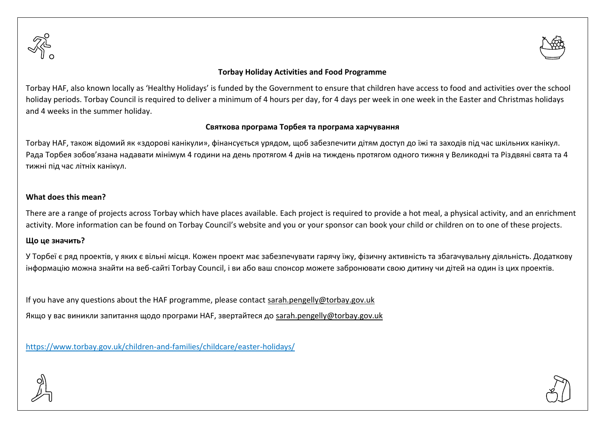



## **Torbay Holiday Activities and Food Programme**

Torbay HAF, also known locally as 'Healthy Holidays' is funded by the Government to ensure that children have access to food and activities over the school holiday periods. Torbay Council is required to deliver a minimum of 4 hours per day, for 4 days per week in one week in the Easter and Christmas holidays and 4 weeks in the summer holiday.

## **Святкова програма Торбея та програма харчування**

Torbay HAF, також відомий як «здорові канікули», фінансується урядом, щоб забезпечити дітям доступ до їжі та заходів під час шкільних канікул. Рада Торбея зобов'язана надавати мінімум 4 години на день протягом 4 днів на тиждень протягом одного тижня у Великодні та Різдвяні свята та 4 тижні під час літніх канікул.

## **What does this mean?**

There are a range of projects across Torbay which have places available. Each project is required to provide a hot meal, a physical activity, and an enrichment activity. More information can be found on Torbay Council's website and you or your sponsor can book your child or children on to one of these projects.

## **Що це значить?**

У Торбеї є ряд проектів, у яких є вільні місця. Кожен проект має забезпечувати гарячу їжу, фізичну активність та збагачувальну діяльність. Додаткову інформацію можна знайти на веб-сайті Torbay Council, і ви або ваш спонсор можете забронювати свою дитину чи дітей на один із цих проектів.

If you have any questions about the HAF programme, please contact [sarah.pengelly@torbay.gov.uk](mailto:sarah.pengelly@torbay.gov.uk) Якщо у вас виникли запитання щодо програми HAF, звертайтеся до [sarah.pengelly@torbay.gov.uk](mailto:sarah.pengelly@torbay.gov.uk)

<https://www.torbay.gov.uk/children-and-families/childcare/easter-holidays/>